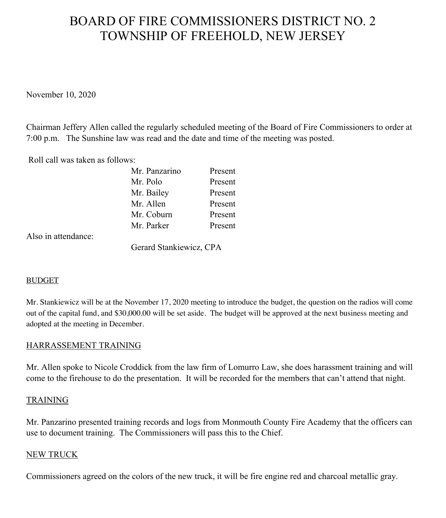# BOARD OF FIRE COMMISSIONERS DISTRICT NO. 2 TOWNSHIP OF FREEHOLD, NEW JERSEY

November 10, 2020

Chairman Jeffery Allen called the regularly scheduled meeting of the Board of Fire Commissioners to order at 7:00 p.m. The Sunshine law was read and the date and time of the meeting was posted.

Roll call was taken as follows:

| Mr. Panzarino | Present |
|---------------|---------|
| Mr. Polo      | Present |
| Mr. Bailey    | Present |
| Mr. Allen     | Present |
| Mr. Coburn    | Present |
| Mr. Parker    | Present |

Also in attendance:

Gerard Stankiewicz, CPA

#### BUDGET

Mr. Stankiewicz will be at the November 17, 2020 meeting to introduce the budget, the question on the radios will come out of the capital fund, and \$30,000.00 will be set aside. The budget will be approved at the next business meeting and adopted at the meeting in December.

#### HARRASSEMENT TRAINING

Mr. Allen spoke to Nicole Croddick from the law firm of Lomurro Law, she does harassment training and will come to the firehouse to do the presentation. It will be recorded for the members that can't attend that night.

#### TRAINING

Mr. Panzarino presented training records and logs from Monmouth County Fire Academy that the officers can use to document training. The Commissioners will pass this to the Chief.

#### NEW TRUCK

Commissioners agreed on the colors of the new truck, it will be fire engine red and charcoal metallic gray.